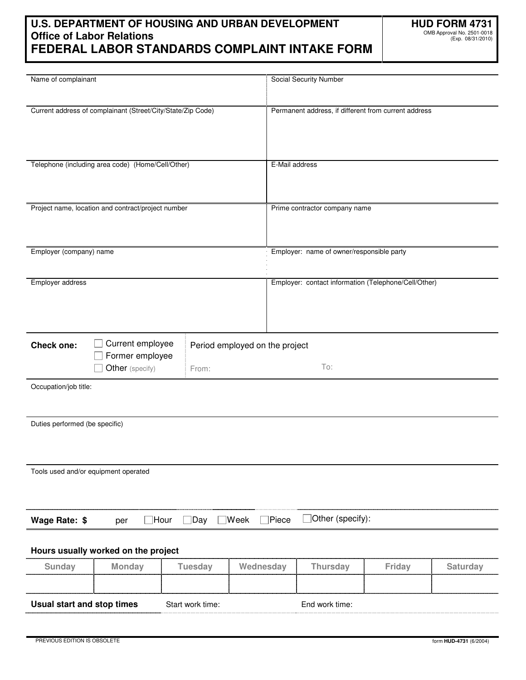# **U.S. DEPARTMENT OF HOUSING AND URBAN DEVELOPMENT Office of Labor Relations FEDERAL LABOR STANDARDS COMPLAINT INTAKE FORM**

| Name of complainant                                                     |                                                             |                              |               | <b>Social Security Number</b>                        |        |          |  |
|-------------------------------------------------------------------------|-------------------------------------------------------------|------------------------------|---------------|------------------------------------------------------|--------|----------|--|
|                                                                         |                                                             |                              |               |                                                      |        |          |  |
|                                                                         | Current address of complainant (Street/City/State/Zip Code) |                              |               | Permanent address, if different from current address |        |          |  |
|                                                                         |                                                             |                              |               |                                                      |        |          |  |
|                                                                         |                                                             |                              |               |                                                      |        |          |  |
|                                                                         |                                                             |                              |               |                                                      |        |          |  |
|                                                                         | Telephone (including area code) (Home/Cell/Other)           |                              |               | E-Mail address                                       |        |          |  |
|                                                                         |                                                             |                              |               |                                                      |        |          |  |
|                                                                         |                                                             |                              |               |                                                      |        |          |  |
|                                                                         | Project name, location and contract/project number          |                              |               | Prime contractor company name                        |        |          |  |
|                                                                         |                                                             |                              |               |                                                      |        |          |  |
|                                                                         |                                                             |                              |               |                                                      |        |          |  |
| Employer (company) name                                                 |                                                             |                              |               | Employer: name of owner/responsible party            |        |          |  |
|                                                                         |                                                             |                              |               |                                                      |        |          |  |
| Employer address                                                        |                                                             |                              |               | Employer: contact information (Telephone/Cell/Other) |        |          |  |
|                                                                         |                                                             |                              |               |                                                      |        |          |  |
|                                                                         |                                                             |                              |               |                                                      |        |          |  |
|                                                                         |                                                             |                              |               |                                                      |        |          |  |
| Current employee<br><b>Check one:</b><br>Period employed on the project |                                                             |                              |               |                                                      |        |          |  |
|                                                                         | Former employee                                             |                              |               | To:                                                  |        |          |  |
|                                                                         | Other (specify)                                             | From:                        |               |                                                      |        |          |  |
| Occupation/job title:                                                   |                                                             |                              |               |                                                      |        |          |  |
|                                                                         |                                                             |                              |               |                                                      |        |          |  |
| Duties performed (be specific)                                          |                                                             |                              |               |                                                      |        |          |  |
|                                                                         |                                                             |                              |               |                                                      |        |          |  |
|                                                                         |                                                             |                              |               |                                                      |        |          |  |
|                                                                         |                                                             |                              |               |                                                      |        |          |  |
| Tools used and/or equipment operated                                    |                                                             |                              |               |                                                      |        |          |  |
|                                                                         |                                                             |                              |               |                                                      |        |          |  |
|                                                                         |                                                             |                              |               |                                                      |        |          |  |
| Wage Rate: \$                                                           | per                                                         | $\Box$ Day<br>$\exists$ Hour | Week<br>Piece | $\Box$ Other (specify):                              |        |          |  |
|                                                                         |                                                             |                              |               |                                                      |        |          |  |
|                                                                         | Hours usually worked on the project                         |                              |               |                                                      |        |          |  |
| <b>Sunday</b>                                                           | <b>Monday</b>                                               | <b>Tuesday</b>               | Wednesday     | <b>Thursday</b>                                      | Friday | Saturday |  |
|                                                                         |                                                             |                              |               |                                                      |        |          |  |
|                                                                         |                                                             |                              |               | End work time:                                       |        |          |  |
| Usual start and stop times<br>Start work time:                          |                                                             |                              |               |                                                      |        |          |  |
|                                                                         |                                                             |                              |               |                                                      |        |          |  |